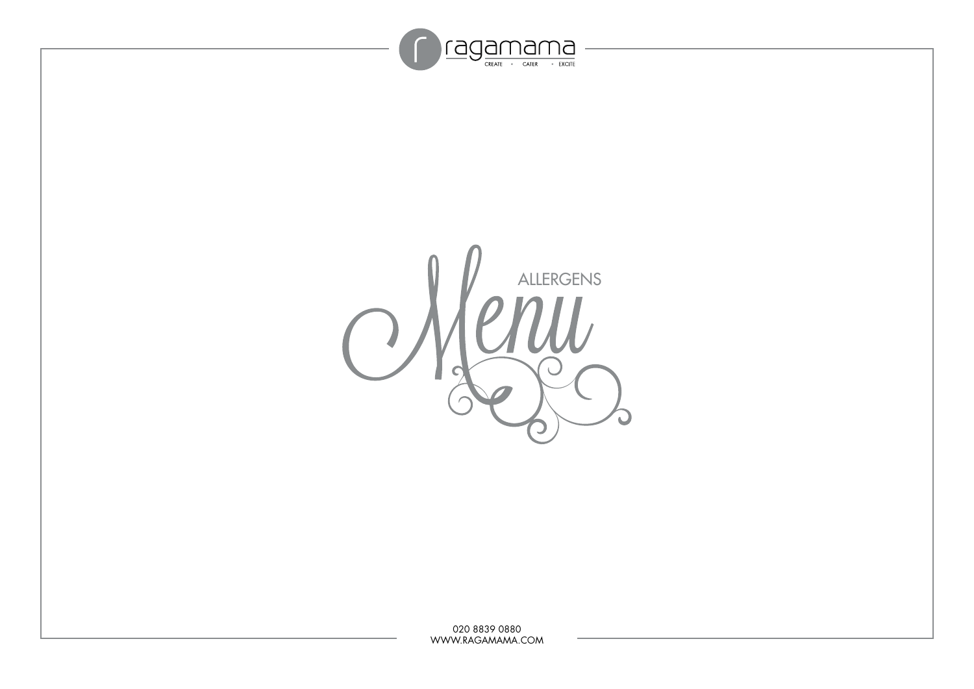

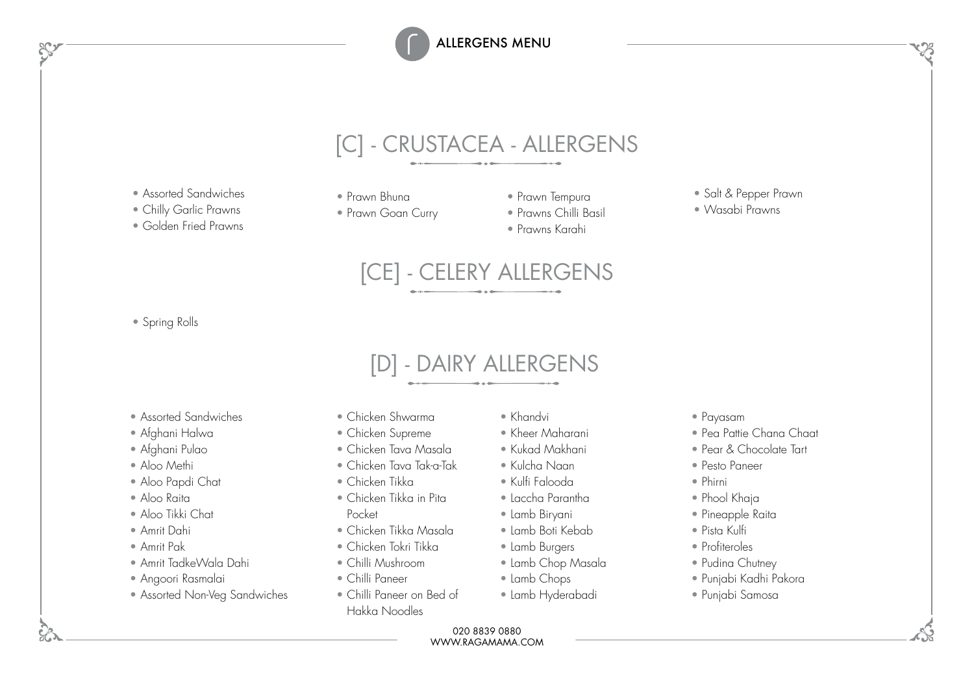## [C] - CRUSTACEA - ALLERGENS

- Assorted Sandwiches
- Chilly Garlic Prawns

• Golden Fried Prawns

- Prawn Bhuna
- Prawn Goan Curry
- Prawn Tempura
- Prawns Chilli Basil
- Prawns Karahi



• Salt & Pepper Prawn

[CE] - CELERY ALLERGENS

• Spring Rolls

## [D] - DAIRY ALLERGENS

- Assorted Sandwiches
- Afghani Halwa
- Afghani Pulao
- Aloo Methi
- Aloo Papdi Chat
- Aloo Raita
- Aloo Tikki Chat
- Amrit Dahi
- Amrit Pak
- Amrit TadkeWala Dahi
- Angoori Rasmalai
- Assorted Non-Veg Sandwiches
- Chicken Shwarma
- Chicken Supreme
- Chicken Tava Masala
- Chicken Tava Tak-a-Tak
- Chicken Tikka
- Chicken Tikka in Pita Pocket
- Chicken Tikka Masala
- Chicken Tokri Tikka
- Chilli Mushroom
- Chilli Paneer
- Chilli Paneer on Bed of Hakka Noodles
- Khandvi
- Kheer Maharani
- Kukad Makhani
- Kulcha Naan
- Kulfi Falooda
- Laccha Parantha
- Lamb Biryani
- Lamb Boti Kebab
- 
- 
- 
- Lamb Hyderabadi
- Payasam
- Pea Pattie Chana Chaat
- Pear & Chocolate Tart
- Pesto Paneer
- Phirni
- Phool Khaja
- Pineapple Raita
- Pista Kulfi
- Profiteroles
- Pudina Chutney
- Punjabi Kadhi Pakora
- Punjabi Samosa

- Lamb Burgers
- Lamb Chop Masala
- Lamb Chops
- -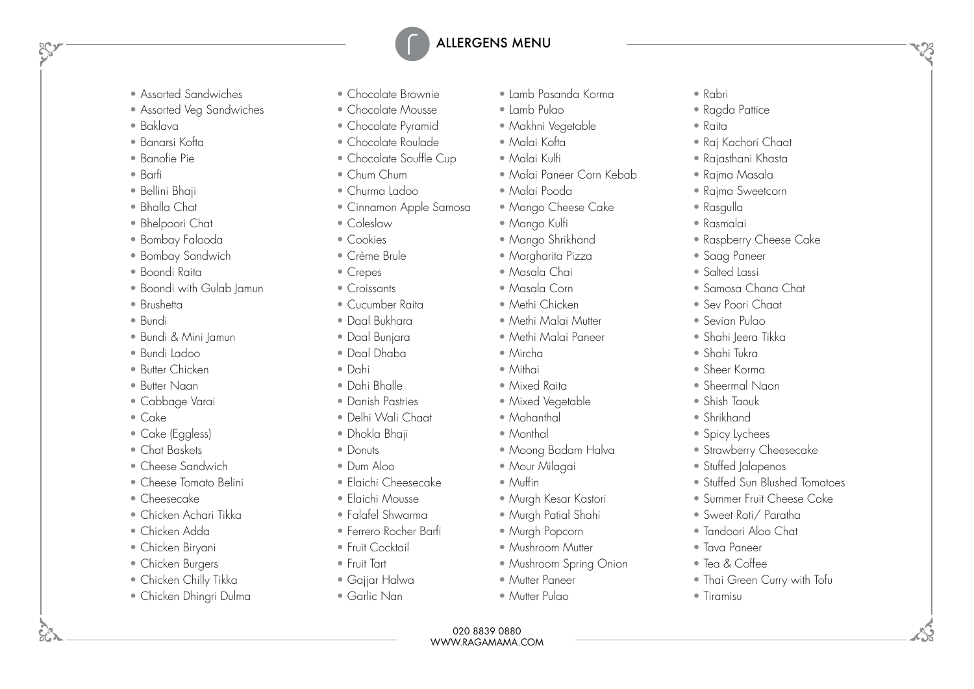- Assorted Sandwiches
- Assorted Veg Sandwiches
- Baklava
- Banarsi Kofta
- Banofie Pie
- Barfi
- Bellini Bhaji
- Bhalla Chat
- Bhelpoori Chat
- Bombay Falooda
- Bombay Sandwich
- Boondi Raita
- Boondi with Gulab Jamun
- Brushetta
- Bundi
- Bundi & Mini Jamun
- Bundi Ladoo
- Butter Chicken
- Butter Naan
- Cabbage Varai
- Cake
- Cake (Eggless)
- Chat Baskets
- Cheese Sandwich
- Cheese Tomato Belini
- Cheesecake
- Chicken Achari Tikka
- Chicken Adda
- Chicken Biryani
- Chicken Burgers
- Chicken Chilly Tikka
- Chicken Dhingri Dulma
- Chocolate Brownie
- Chocolate Mousse
- Chocolate Pyramid
- Chocolate Roulade
- Chocolate Souffle Cup
- Chum Chum
- Churma Ladoo
- Cinnamon Apple Samosa
- Coleslaw
- Cookies
- Crème Brule
- Crepes
- Croissants
- Cucumber Raita
- Daal Bukhara
- Daal Bunjara
- Daal Dhaba
- Dahi
- Dahi Bhalle
- Danish Pastries
- Delhi Wali Chaat
- Dhokla Bhaji
- Donuts
- Dum Aloo
- Elaichi Cheesecake
- Elaichi Mousse
- Falafel Shwarma
- Ferrero Rocher Barfi
- Fruit Cocktail
- Fruit Tart
- Gajjar Halwa
- Garlic Nan
- Lamb Pasanda Korma
- Lamb Pulao
- Makhni Vegetable
- Malai Kofta
- Malai Kulfi
- Malai Paneer Corn Kebab
- Malai Pooda
- Mango Cheese Cake
- Mango Kulfi
- Mango Shrikhand
- Margharita Pizza
- Masala Chai
- Masala Corn
- Methi Chicken
- Methi Malai Mutter
- Methi Malai Paneer
- Mircha
- Mithai
- Mixed Raita
- Mixed Vegetable
- Mohanthal
- Monthal
- Moong Badam Halva
- Mour Milagai

020 8839 0880 WWW.RAGAMAMA.COM

- Muffin
- Murgh Kesar Kastori
- Murgh Patial Shahi
- Murgh Popcorn
- Mushroom Mutter
- Mushroom Spring Onion
- Mutter Paneer
- Mutter Pulao
- Rabri
- Ragda Pattice

• Raj Kachori Chaat • Rajasthani Khasta • Rajma Masala • Rajma Sweetcorn

• Raspberry Cheese Cake

• Samosa Chana Chat • Sev Poori Chaat • Sevian Pulao • Shahi leera Tikka • Shahi Tukra • Sheer Korma • Sheermal Naan • Shish Taouk • Shrikhand • Spicy Lychees

• Strawberry Cheesecake • Stuffed Jalapenos

• Sweet Roti/ Paratha • Tandoori Aloo Chat

• Tava Paneer • Tea & Coffee

• Tiramisu

• Stuffed Sun Blushed Tomatoes • Summer Fruit Cheese Cake

• Thai Green Curry with Tofu

• Raita

• Rasgulla • Rasmalai

• Saag Paneer • Salted Lassi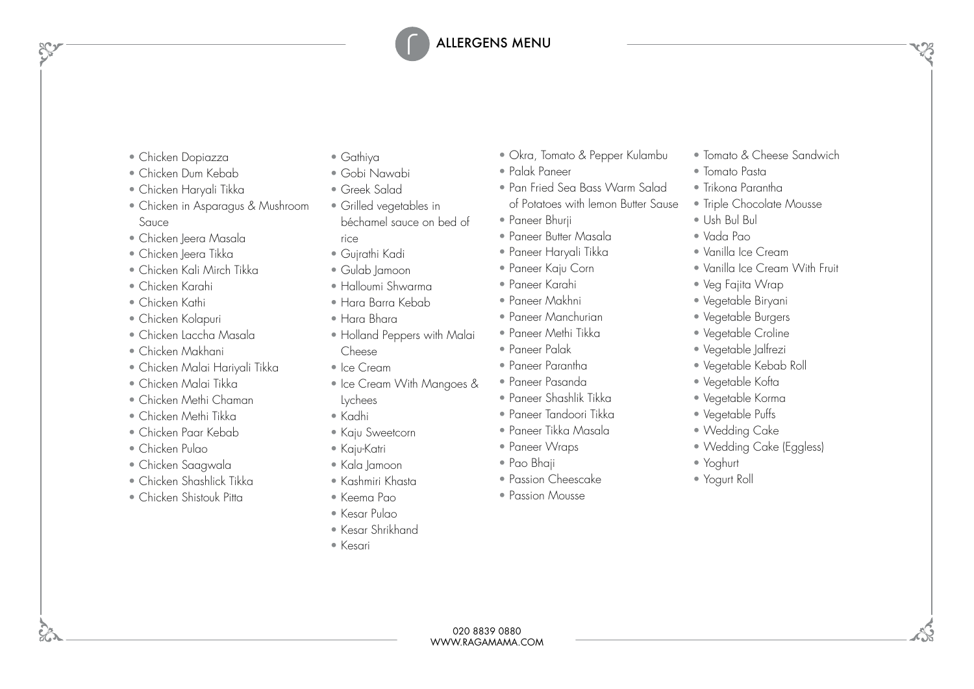- Chicken Dopiazza
- Chicken Dum Kebab
- Chicken Haryali Tikka
- Chicken in Asparagus & Mushroom Sauce
- Chicken Jeera Masala
- Chicken Jeera Tikka
- Chicken Kali Mirch Tikka
- Chicken Karahi
- Chicken Kathi
- Chicken Kolapuri
- Chicken Laccha Masala
- Chicken Makhani
- Chicken Malai Hariyali Tikka
- Chicken Malai Tikka
- Chicken Methi Chaman
- Chicken Methi Tikka
- Chicken Paar Kebab
- Chicken Pulao
- Chicken Saagwala
- Chicken Shashlick Tikka
- Chicken Shistouk Pitta
- Gathiya
- Gobi Nawabi
- Greek Salad
- Grilled vegetables in béchamel sauce on bed of rice
- Gujrathi Kadi
- Gulab Jamoon
- Halloumi Shwarma
- Hara Barra Kebab
- Hara Bhara
- Holland Peppers with Malai Cheese
- Ice Cream
- Ice Cream With Mangoes &
- Lychees
- Kadhi
- Kaju Sweetcorn
- Kaju-Katri
- Kala Jamoon
- Kashmiri Khasta
- Keema Pao
- Kesar Pulao
- Kesar Shrikhand
- Kesari
- Okra, Tomato & Pepper Kulambu
- Palak Paneer
- Pan Fried Sea Bass Warm Salad of Potatoes with lemon Butter Sause
- Paneer Bhurii
- Paneer Butter Masala
- Paneer Haryali Tikka
- Paneer Kaju Corn
- Paneer Karahi
- Paneer Makhni
- Paneer Manchurian
- Paneer Methi Tikka
- Paneer Palak
- Paneer Parantha
- Paneer Pasanda

• Paneer Wraps • Pao Bhaji

• Passion Cheescake • Passion Mousse

- Paneer Shashlik Tikka
- Paneer Tandoori Tikka • Paneer Tikka Masala
- - Wedding Cake (Eggless)
	- Yoghurt
	- Yogurt Roll

- Tomato & Cheese Sandwich
- Tomato Pasta
- Trikona Parantha
- Triple Chocolate Mousse
- Ush Bul Bul
- Vada Pao
- Vanilla Ice Cream
- Vanilla Ice Cream With Fruit
- Veg Fajita Wrap
- Vegetable Biryani
- Vegetable Burgers
- Vegetable Croline
- Vegetable Jalfrezi
- Vegetable Kebab Roll
- Vegetable Kofta
- Vegetable Korma
- Vegetable Puffs
- Wedding Cake
- 
- 
-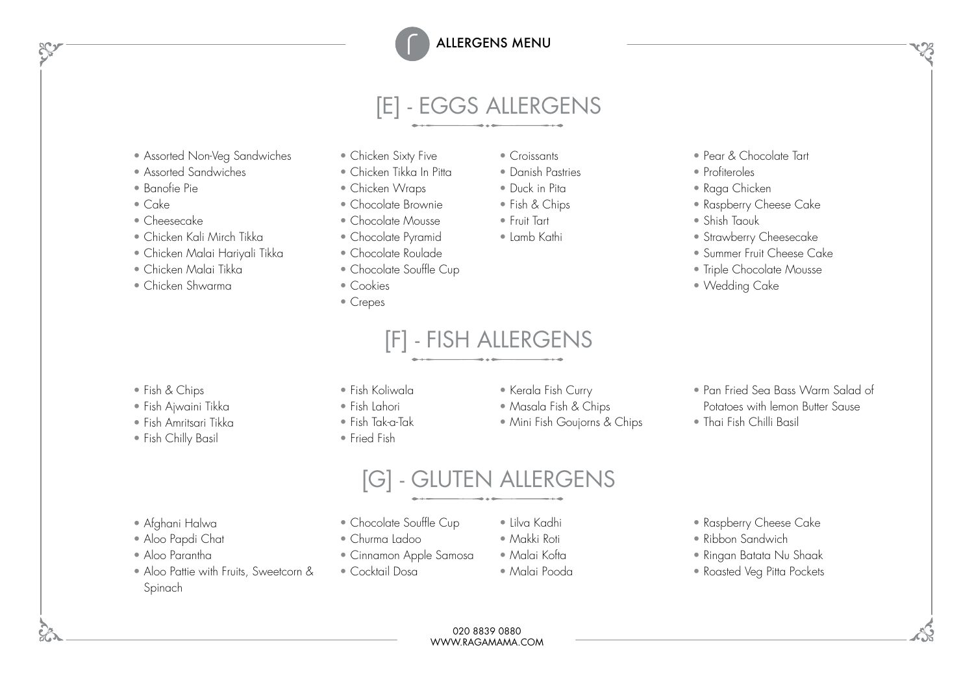# [E] - EGGS ALLERGENS

- Assorted Non-Veg Sandwiches
- Assorted Sandwiches
- Banofie Pie
- Cake
- Cheesecake
- Chicken Kali Mirch Tikka
- Chicken Malai Hariyali Tikka
- Chicken Malai Tikka
- Chicken Shwarma
- Chicken Sixty Five
- Chicken Tikka In Pitta
- Chicken Wraps
- Chocolate Brownie
- 
- 
- 
- 
- 
- Crepes

## [F] - FISH ALLERGENS

[G] - GLUTEN ALLERGENS

- Croissants
- Danish Pastries • Duck in Pita
- Fish & Chips
- Fruit Tart
- Lamb Kathi
- 
- Pear & Chocolate Tart
- Profiteroles
- Raga Chicken
- Raspberry Cheese Cake
- Shish Taouk
- Strawberry Cheesecake
- Summer Fruit Cheese Cake

• Pan Fried Sea Bass Warm Salad of Potatoes with lemon Butter Sause

- Triple Chocolate Mousse
- Wedding Cake

- Fish & Chips
- Fish Ajwaini Tikka
- Fish Amritsari Tikka
- Fish Chilly Basil
- Fish Koliwala
- Fish Lahori
- Fish Tak-a-Tak
- Fried Fish
- Kerala Fish Curry
- Masala Fish & Chips
- Mini Fish Goujorns & Chips
- 
- Thai Fish Chilli Basil

- Afghani Halwa
- Aloo Papdi Chat
- Aloo Parantha
- Aloo Pattie with Fruits, Sweetcorn & Spinach
- Chocolate Souffle Cup
- Churma Ladoo
- Cinnamon Apple Samosa
- Cocktail Dosa
- Lilva Kadhi
- Makki Roti
- Malai Kofta
- Malai Pooda

020 8839 0880 WWW.RAGAMAMA.COM

- Raspberry Cheese Cake
- Ribbon Sandwich
- Ringan Batata Nu Shaak
- Roasted Veg Pitta Pockets

• Chocolate Mousse • Chocolate Pyramid

- Chocolate Roulade
- Chocolate Souffle Cup

#### • Cookies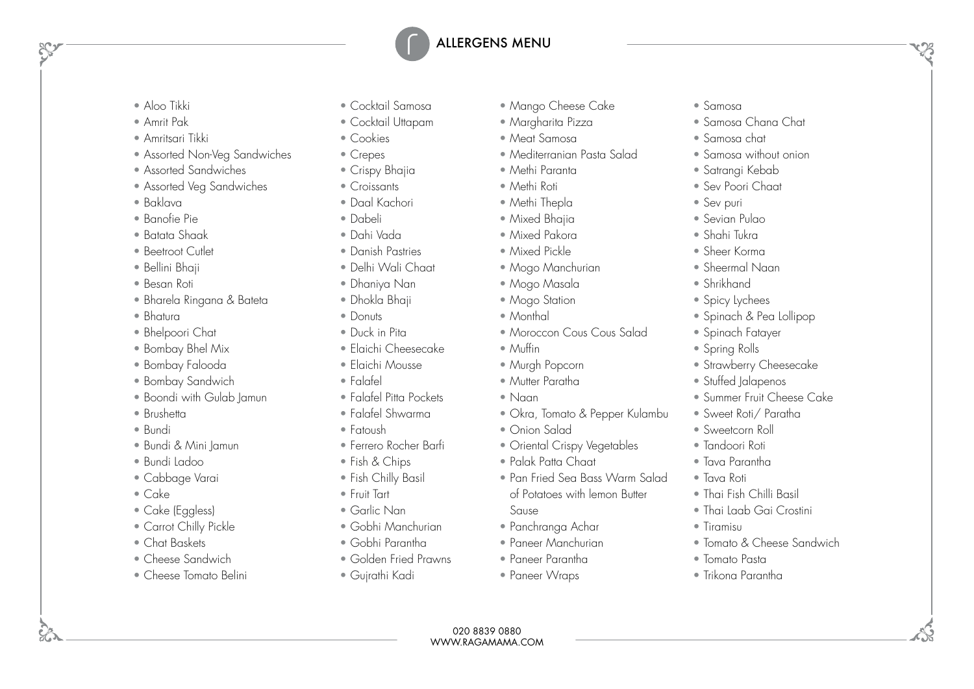- Aloo Tikki
- Amrit Pak
- Amritsari Tikki
- Assorted Non-Veg Sandwiches
- Assorted Sandwiches
- Assorted Veg Sandwiches
- Baklava
- Banofie Pie
- Batata Shaak
- Beetroot Cutlet
- Bellini Bhaji
- Besan Roti
- Bharela Ringana & Bateta
- Bhatura
- Bhelpoori Chat
- Bombay Bhel Mix
- Bombay Falooda
- Bombay Sandwich
- Boondi with Gulab Jamun
- Brushetta
- Bundi
- Bundi & Mini Jamun
- Bundi Ladoo
- Cabbage Varai
- Cake
- Cake (Eggless)
- Carrot Chilly Pickle
- Chat Baskets
- Cheese Sandwich
- Cheese Tomato Belini
- Cocktail Samosa
- Cocktail Uttapam
- Cookies
- Crepes
- Crispy Bhajia
- Croissants
- Daal Kachori
- Dabeli
- Dahi Vada
- Danish Pastries
- Delhi Wali Chaat
- Dhaniya Nan
- Dhokla Bhaji
- Donuts
- Duck in Pita
- Elaichi Cheesecake
- Elaichi Mousse
- Falafel
- Falafel Pitta Pockets
- Falafel Shwarma
- Fatoush
- Ferrero Rocher Barfi
- Fish & Chips
- Fish Chilly Basil
- Fruit Tart
- Garlic Nan
- Gobhi Manchurian
- Gobhi Parantha
- Golden Fried Prawns
- Gujrathi Kadi
- Mango Cheese Cake
- Margharita Pizza
- Meat Samosa
- Mediterranian Pasta Salad
- Methi Paranta
- Methi Roti
- Methi Thepla
- Mixed Bhaija
- Mixed Pakora
- Mixed Pickle
- Mogo Manchurian
- Mogo Masala
- Mogo Station
- Monthal
- Moroccon Cous Cous Salad
- Muffin
- Murgh Popcorn
- Mutter Paratha
- Naan
- Okra, Tomato & Pepper Kulambu
- Onion Salad
- Oriental Crispy Vegetables
- Palak Patta Chaat
- Pan Fried Sea Bass Warm Salad of Potatoes with lemon Butter Sause
- Panchranga Achar
- Paneer Manchurian
- Paneer Parantha

020 8839 0880 WWW.RAGAMAMA.COM

• Paneer Wraps

- Samosa
- Samosa Chana Chat
- Samosa chat
- Samosa without onion
- Satranai Kebab
- Sev Poori Chaat
- Sev puri
- Sevian Pulao
- Shahi Tukra
- Sheer Korma

• Shrikhand • Spicy Lychees

• Sheermal Naan

• Spinach Fatayer • Spring Rolls

• Spinach & Pea Lollipop

• Strawberry Cheesecake • Stuffed Jalapenos

• Thai Fish Chilli Basil • Thai Laab Gai Crostini

• Tomato & Cheese Sandwich

• Tiramisu

• Tomato Pasta • Trikona Parantha

• Summer Fruit Cheese Cake • Sweet Roti/ Paratha • Sweetcorn Roll • Tandoori Roti • Tava Parantha • Tava Roti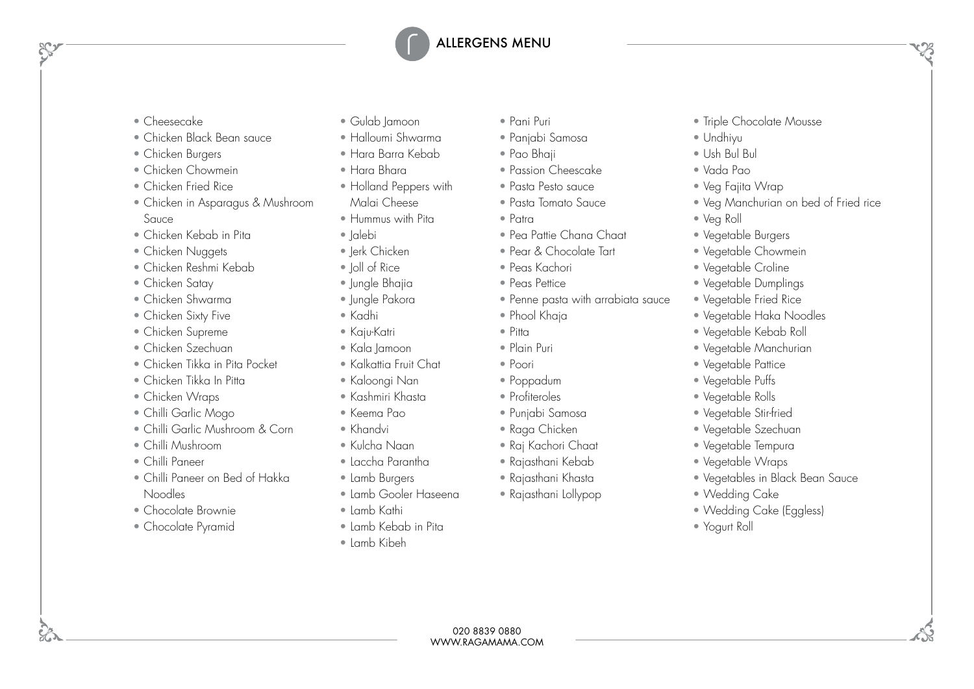- Cheesecake
- Chicken Black Bean sauce
- Chicken Burgers
- Chicken Chowmein
- Chicken Fried Rice
- Chicken in Asparagus & Mushroom Sauce
- Chicken Kebab in Pita
- Chicken Nuggets
- Chicken Reshmi Kebab
- Chicken Satay
- Chicken Shwarma
- Chicken Sixty Five
- Chicken Supreme
- Chicken Szechuan
- Chicken Tikka in Pita Pocket
- Chicken Tikka In Pitta
- Chicken Wraps
- Chilli Garlic Mogo
- Chilli Garlic Mushroom & Corn
- Chilli Mushroom
- Chilli Paneer
- Chilli Paneer on Bed of Hakka Noodles
- Chocolate Brownie
- Chocolate Pyramid
- Gulab Jamoon
- Halloumi Shwarma
- Hara Barra Kebab
- Hara Bhara
- Holland Peppers with Malai Cheese
- Hummus with Pita
- Jalebi
- Jerk Chicken
- Ioll of Rice
- Jungle Bhajia
- Jungle Pakora
- Kadhi
- Kaju-Katri
- Kala Jamoon
- Kalkattia Fruit Chat
- Kaloongi Nan
- Kashmiri Khasta
- Keema Pao
- Khandvi
- Kulcha Naan
- Laccha Parantha
- Lamb Burgers
- Lamb Gooler Haseena
- Lamb Kathi
- Lamb Kebab in Pita
- Lamb Kibeh
- Pani Puri
- Panjabi Samosa
- Pao Bhaji
- Passion Cheescake
- Pasta Pesto sauce
- Pasta Tomato Sauce
- Patra
- Pea Pattie Chana Chaat
- Pear & Chocolate Tart
- Peas Kachori
- Peas Pettice
- Penne pasta with arrabiata sauce
- Phool Khaja
- Pitta
- Plain Puri
- Poori
- Poppadum
- Profiteroles
- Punjabi Samosa
- Raga Chicken
- Raj Kachori Chaat
- Rajasthani Kebab
- Rajasthani Khasta

020 8839 0880 WWW.RAGAMAMA.COM

• Rajasthani Lollypop

- Triple Chocolate Mousse • Undhiyu
- Ush Bul Bul
- Vada Pao
- Veg Fajita Wrap
- Veg Manchurian on bed of Fried rice
- Veg Roll
- Vegetable Burgers
- Vegetable Chowmein
- Vegetable Croline
- Vegetable Dumplings
- Vegetable Fried Rice
- Vegetable Haka Noodles
- Vegetable Kebab Roll
- Vegetable Manchurian
- Vegetable Pattice
- Vegetable Puffs
- Vegetable Rolls
- Vegetable Stir-fried
- Vegetable Szechuan
- Vegetable Tempura
- Vegetable Wraps
- Vegetables in Black Bean Sauce
- Wedding Cake
- Wedding Cake (Eggless)
- Yogurt Roll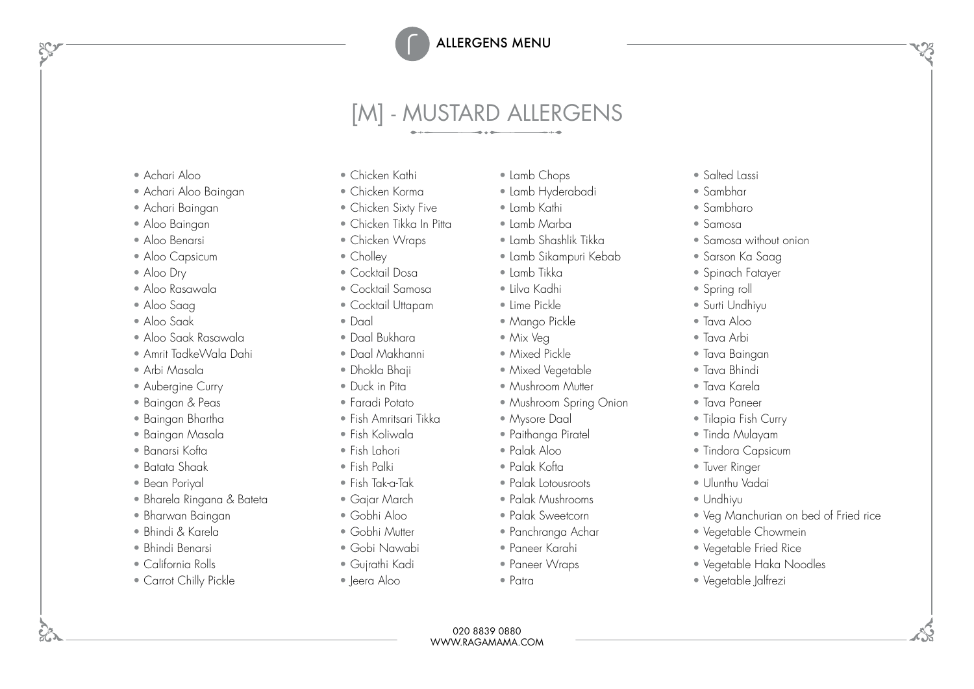# [M] - MUSTARD ALLERGENS

- Achari Aloo
- Achari Aloo Baingan
- Achari Baingan
- Aloo Baingan
- Aloo Benarsi
- Aloo Capsicum
- Aloo Dry
- Aloo Rasawala
- Aloo Saag
- Aloo Saak
- Aloo Saak Rasawala
- Amrit TadkeWala Dahi
- Arbi Masala
- Aubergine Curry
- Baingan & Peas
- Baingan Bhartha
- Baingan Masala
- Banarsi Kofta
- Batata Shaak
- Bean Poriyal
- Bharela Ringana & Bateta
- Bharwan Baingan
- Bhindi & Karela
- Bhindi Benarsi
- California Rolls
- Carrot Chilly Pickle
- Chicken Kathi
- Chicken Korma
- Chicken Sixty Five
- Chicken Tikka In Pitta
- Chicken Wraps
- Cholley
- Cocktail Dosa
- Cocktail Samosa
- Cocktail Uttapam
- Daal
- Daal Bukhara
- Daal Makhanni
- Dhokla Bhaji
- Duck in Pita
- Faradi Potato
- Fish Amritsari Tikka
- Fish Koliwala
- Fish Lahori
- Fish Palki
- Fish Tak-a-Tak
- Gajar March
- Gobhi Aloo
- Gobhi Mutter
- Gobi Nawabi
- Gujrathi Kadi
- Jeera Aloo
- Lamb Chops
	- Lamb Hyderabadi
- Lamb Kathi
- Lamb Marba
- Lamb Shashlik Tikka
- Lamb Sikampuri Kebab
- Lamb Tikka
- Lilva Kadhi
- Lime Pickle
- Mango Pickle
- Mix Veg
- Mixed Pickle
- Mixed Vegetable
- Mushroom Mutter
- Mushroom Spring Onion
- Mysore Daal
- Paithanga Piratel
- Palak Aloo
- Palak Kofta
- Palak Lotousroots
- Palak Mushrooms
- Palak Sweetcorn
- Panchranga Achar
- Paneer Karahi
- Paneer Wraps

020 8839 0880 WWW.RAGAMAMA.COM

• Patra

- Salted Lassi
- Sambhar
- Sambharo
- Samosa
- Samosa without onion
- Sarson Ka Saag
- Spinach Fatayer
- Spring roll
- Surti Undhiyu
- Tava Aloo
- Tava Arbi
- Tava Baingan
- Tava Bhindi
- Tava Karela
- Tava Paneer
- Tilapia Fish Curry
- Tinda Mulayam
- Tindora Capsicum

• Vegetable Chowmein • Vegetable Fried Rice • Vegetable Haka Noodles

• Vegetable Jalfrezi

• Veg Manchurian on bed of Fried rice

- Tuver Ringer
- Ulunthu Vadai

• Undhiyu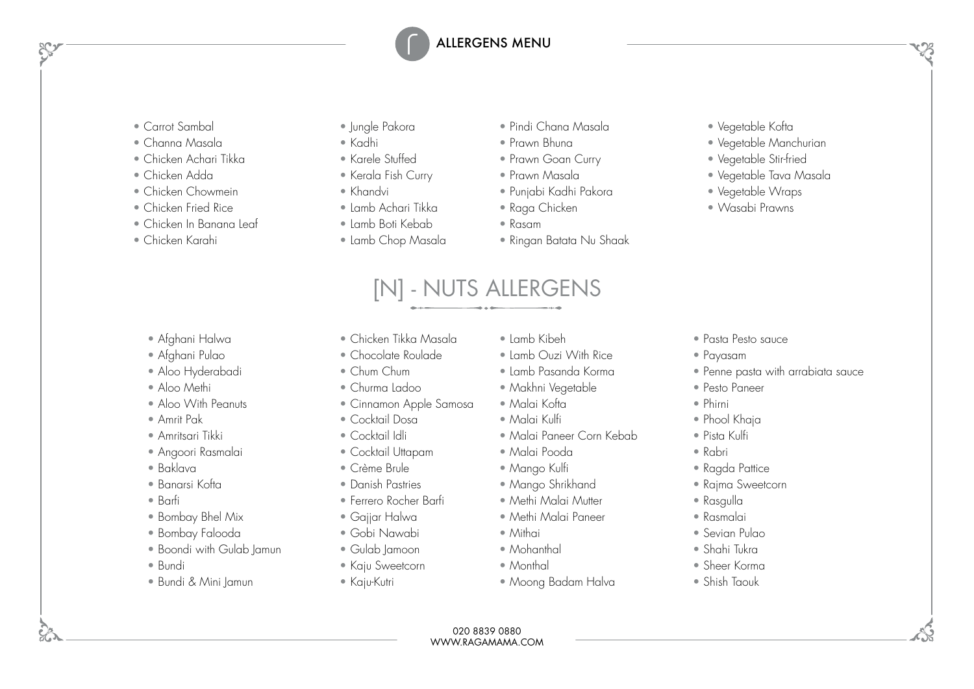- Carrot Sambal
- Channa Masala
- Chicken Achari Tikka
- Chicken Adda
- Chicken Chowmein
- Chicken Fried Rice
- Chicken In Banana Leaf
- Chicken Karahi

- Afghani Halwa
- Afghani Pulao
- Aloo Hyderabadi
- Aloo Methi
- Aloo With Peanuts
- Amrit Pak
- Amritsari Tikki
- Angoori Rasmalai
- Baklava
- Banarsi Kofta
- Barfi
- Bombay Bhel Mix
- Bombay Falooda
- Boondi with Gulab Jamun
- Bundi
- Bundi & Mini Jamun
- Jungle Pakora
- Kadhi
- Karele Stuffed
- Kerala Fish Curry
- Khandvi
- Lamb Achari Tikka
- Lamb Boti Kebab
- Lamb Chop Masala
- Pindi Chana Masala
- Prawn Bhuna
- Prawn Goan Curry
- Prawn Masala
- Punjabi Kadhi Pakora
- Raga Chicken
- Rasam

[N] - NUTS ALLERGENS

• Ringan Batata Nu Shaak

- Vegetable Kofta
- Vegetable Manchurian
- Vegetable Stir-fried
- Vegetable Tava Masala
- Vegetable Wraps
- Wasabi Prawns

- Chicken Tikka Masala
- Chocolate Roulade
- Chum Chum
- Churma Ladoo
- Cinnamon Apple Samosa
- Cocktail Dosa
- Cocktail Idli
- Cocktail Uttapam
- Crème Brule
- Danish Pastries
- Ferrero Rocher Barfi
- Gajjar Halwa
- Gobi Nawabi
- Gulab Jamoon
- Kaju Sweetcorn
- Kaju-Kutri
- Lamb Kibeh
- Lamb Ouzi With Rice
- Lamb Pasanda Korma
- Makhni Vegetable
- Malai Kofta
- Malai Kulfi
- Malai Paneer Corn Kebab
- Malai Pooda
- Mango Kulfi
- Mango Shrikhand
- Methi Malai Mutter
- Methi Malai Paneer
- Mithai
- Mohanthal
- Monthal
- Moong Badam Halva
- Pasta Pesto sauce
- Payasam
- Penne pasta with arrabiata sauce
- Pesto Paneer
- Phirni
- Phool Khaja
- Pista Kulfi
- Rabri
- Ragda Pattice
- Rajma Sweetcorn
- Rasgulla
- Rasmalai
- Sevian Pulao
- Shahi Tukra
- Sheer Korma
- Shish Taouk

- 
- 
-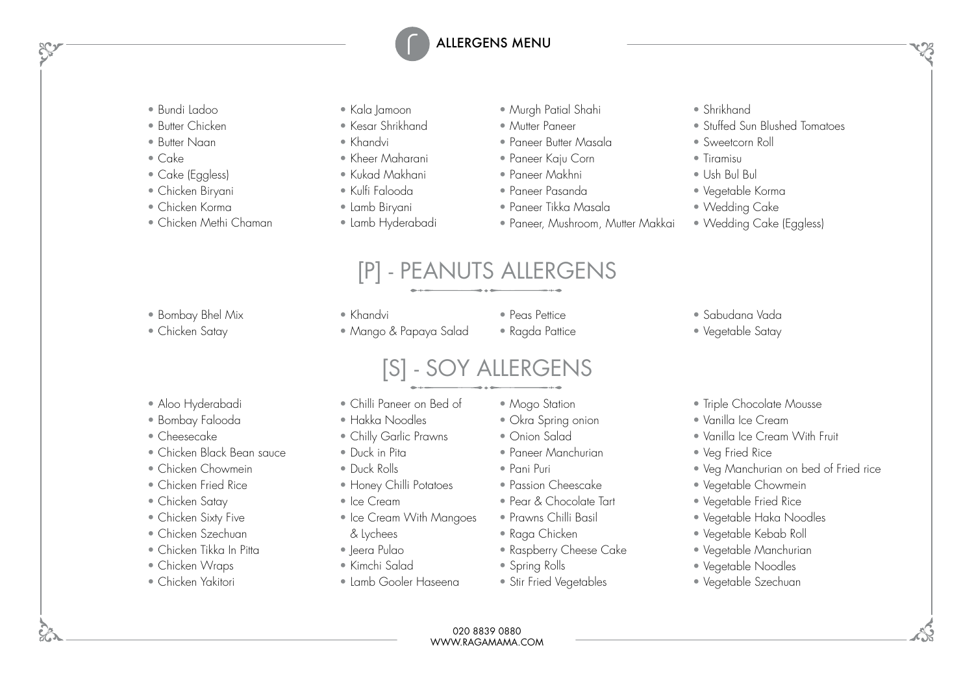- Bundi Ladoo
- Butter Chicken
- Butter Naan
- Cake
- Cake (Eggless)
- Chicken Biryani
- Chicken Korma
- Chicken Methi Chaman
- Kala Jamoon
- Kesar Shrikhand
- Khandvi
- Kheer Maharani
- Kukad Makhani
- Kulfi Falooda
- Lamb Biryani
- Lamb Hyderabadi
- Murah Patial Shahi
- Mutter Paneer
- Paneer Butter Masala
- Paneer Kaju Corn
- Paneer Makhni
- Paneer Pasanda
- Paneer Tikka Masala
- Paneer, Mushroom, Mutter Makkai
- Shrikhand
- Stuffed Sun Blushed Tomatoes
- Sweetcorn Roll
- Tiramisu
- Ush Bul Bul
- Vegetable Korma
- Wedding Cake

• Sabudana Vada • Vegetable Satay

• Wedding Cake (Eggless)

## [P] - PEANUTS ALLERGENS

• Bombay Bhel Mix

#### • Chicken Satay

- Khandvi
- Mango & Papaya Salad
- Peas Pettice
- Ragda Pattice

## [S] - SOY ALLERGENS

- Aloo Hyderabadi
- Bombay Falooda
- Cheesecake
- Chicken Black Bean sauce
- Chicken Chowmein
- Chicken Fried Rice
- Chicken Satay
- Chicken Sixty Five
- Chicken Szechuan
- Chicken Tikka In Pitta
- Chicken Wraps
- Chicken Yakitori
- Chilli Paneer on Bed of
- Hakka Noodles
- Chilly Garlic Prawns
- Duck in Pita
- Duck Rolls
- Honey Chilli Potatoes
- Ice Cream
- Ice Cream With Mangoes
- & Lychees
- Jeera Pulao • Kimchi Salad
- 
- Lamb Gooler Haseena
- Mogo Station
	-
	- Onion Salad
	- Paneer Manchurian
	- Pani Puri
	- Passion Cheescake
	- Pear & Chocolate Tart
	- Prawns Chilli Basil
	- Raga Chicken
	- Spring Rolls
	-
	- Stir Fried Vegetables
- Veg Manchurian on bed of Fried rice • Vegetable Chowmein
- Vegetable Fried Rice

• Veg Fried Rice

• Vegetable Haka Noodles

• Triple Chocolate Mousse • Vanilla Ice Cream

• Vanilla Ice Cream With Fruit

- Vegetable Kebab Roll
- Vegetable Manchurian
- Vegetable Noodles
- Vegetable Szechuan

- 
- 
- Okra Spring onion
- 
- 
- 
- 
- 
- 
- 
- Raspberry Cheese Cake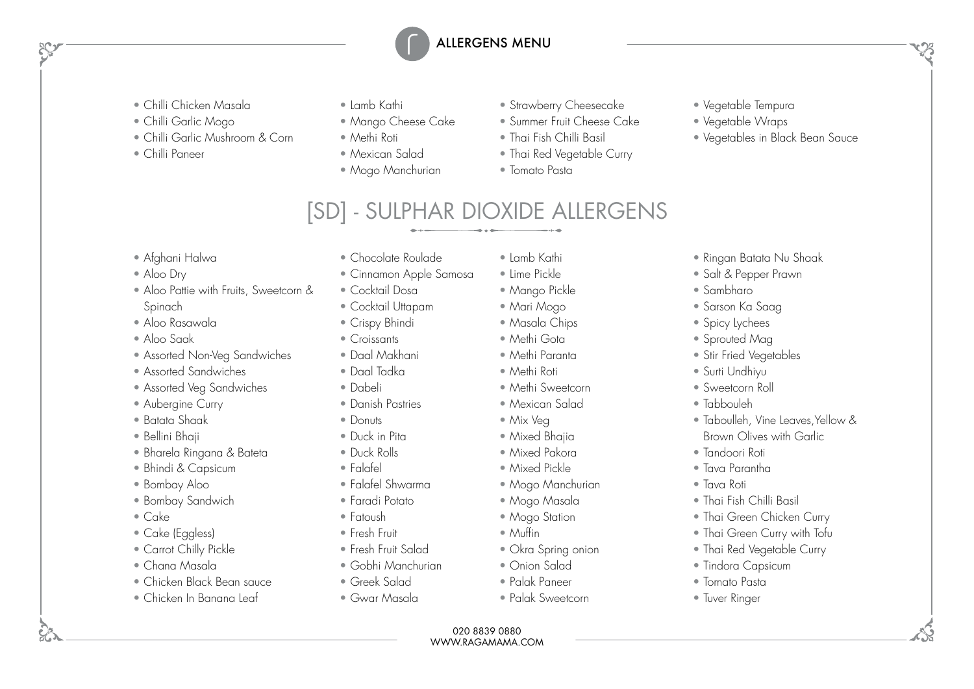- Chilli Chicken Masala
- Chilli Garlic Mogo
- Chilli Garlic Mushroom & Corn
- Chilli Paneer
- Lamb Kathi
- Mango Cheese Cake
- Methi Roti
- Mexican Salad
- Mogo Manchurian
- Strawberry Cheesecake
- Summer Fruit Cheese Cake
- Thai Fish Chilli Basil
- Thai Red Vegetable Curry
- Tomato Pasta
- Vegetable Tempura
- Vegetable Wraps

• Ringan Batata Nu Shaak • Salt & Pepper Prawn

- Vegetables in Black Bean Sauce
- [SD] SULPHAR DIOXIDE ALLERGENS

- Afghani Halwa
- Aloo Dry
- Aloo Pattie with Fruits, Sweetcorn & Spinach
- Aloo Rasawala
- Aloo Saak
- Assorted Non-Veg Sandwiches
- Assorted Sandwiches
- Assorted Veg Sandwiches
- Aubergine Curry
- Batata Shaak
- Bellini Bhaji
- Bharela Ringana & Bateta
- Bhindi & Capsicum
- Bombay Aloo
- Bombay Sandwich
- Cake
- Cake (Eggless)
- Carrot Chilly Pickle
- Chana Masala
- Chicken Black Bean sauce
- Chicken In Banana Leaf
- Chocolate Roulade
- Cinnamon Apple Samosa
- Cocktail Dosa
- Cocktail Uttapam
- Crispy Bhindi
- Croissants
- Daal Makhani
- Daal Tadka
- Dabeli
- Danish Pastries
- Donuts
- Duck in Pita
- Duck Rolls
- Falafel
- Falafel Shwarma
- Faradi Potato
- Fatoush
- Fresh Fruit
- Fresh Fruit Salad
- Gobhi Manchurian
- Greek Salad
- Gwar Masala
- Lamb Kathi
	- Lime Pickle
- Mango Pickle
- Mari Mogo
- Masala Chips
- Methi Gota
- Methi Paranta
- Methi Roti
- Methi Sweetcorn
- Mexican Salad
- Mix Veg
- Mixed Bhajia • Mixed Pakora
- Mixed Pickle
- Mogo Manchurian
- Mogo Masala
- Mogo Station
- Muffin
- Okra Spring onion
- Onion Salad
- Palak Paneer
- Palak Sweetcorn
- 
- Thai Red Vegetable Curry
- Tindora Capsicum
- Tomato Pasta
- Tuver Ringer

020 8839 0880 WWW.RAGAMAMA.COM

- Spicy Lychees • Sprouted Mag • Stir Fried Vegetables
	- Surti Undhiyu

• Sambharo • Sarson Ka Saag

- Sweetcorn Roll
- Tabbouleh
- Taboulleh, Vine Leaves, Yellow & Brown Olives with Garlic
- Tandoori Roti
- Tava Parantha
- Tava Roti
- Thai Fish Chilli Basil
- Thai Green Chicken Curry
- Thai Green Curry with Tofu